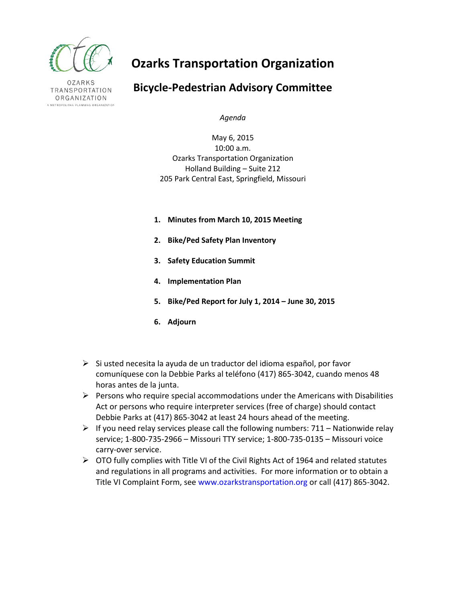

**OZARKS** TRANSPORTATION ORGANIZATION A METROPOLITAN PLANNING ORGANIZATION

# **Ozarks Transportation Organization**

# **Bicycle-Pedestrian Advisory Committee**

*Agenda*

May 6, 2015 10:00 a.m. Ozarks Transportation Organization Holland Building – Suite 212 205 Park Central East, Springfield, Missouri

- **1. Minutes from March 10, 2015 Meeting**
- **2. Bike/Ped Safety Plan Inventory**
- **3. Safety Education Summit**
- **4. Implementation Plan**
- **5. Bike/Ped Report for July 1, 2014 – June 30, 2015**
- **6. Adjourn**
- $\triangleright$  Si usted necesita la ayuda de un traductor del idioma español, por favor comuníquese con la Debbie Parks al teléfono (417) 865-3042, cuando menos 48 horas antes de la junta.
- $\triangleright$  Persons who require special accommodations under the Americans with Disabilities Act or persons who require interpreter services (free of charge) should contact Debbie Parks at (417) 865-3042 at least 24 hours ahead of the meeting.
- $\triangleright$  If you need relay services please call the following numbers: 711 Nationwide relay service; 1-800-735-2966 – Missouri TTY service; 1-800-735-0135 – Missouri voice carry-over service.
- $\triangleright$  OTO fully complies with Title VI of the Civil Rights Act of 1964 and related statutes and regulations in all programs and activities. For more information or to obtain a Title VI Complaint Form, see www.ozarkstransportation.org or call (417) 865-3042.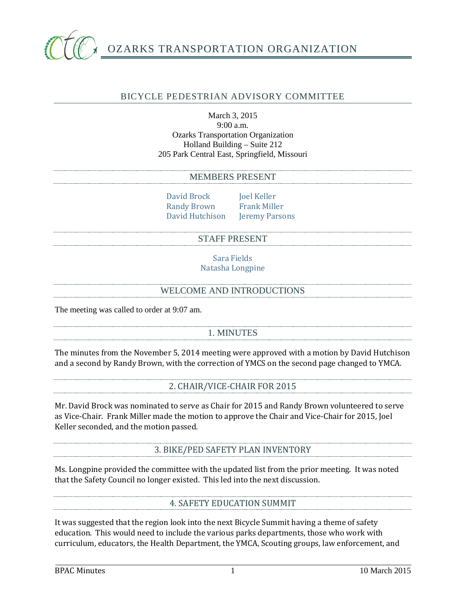

# BICYCLE PEDESTRIAN ADVISORY COMMITTEE

#### March 3, 2015 9:00 a.m. Ozarks Transportation Organization Holland Building – Suite 212 205 Park Central East, Springfield, Missouri

#### MEMBERS PRESENT

David Brock Joel Keller<br>Randy Brown Frank Miller Randy Brown Frank Miller<br>David Hutchison Jeremy Parsons David Hutchison

#### STAFF PRESENT

Sara Fields Natasha Longpine

#### WELCOME AND INTRODUCTIONS

The meeting was called to order at 9:07 am.

# 1. MINUTES

The minutes from the November 5, 2014 meeting were approved with a motion by David Hutchison and a second by Randy Brown, with the correction of YMCS on the second page changed to YMCA.

# 2. CHAIR/VICE-CHAIR FOR 2015

Mr. David Brock was nominated to serve as Chair for 2015 and Randy Brown volunteered to serve as Vice-Chair. Frank Miller made the motion to approve the Chair and Vice-Chair for 2015, Joel Keller seconded, and the motion passed.

3. BIKE/PED SAFETY PLAN INVENTORY

Ms. Longpine provided the committee with the updated list from the prior meeting. It was noted that the Safety Council no longer existed. This led into the next discussion.

# 4. SAFETY EDUCATION SUMMIT

It was suggested that the region look into the next Bicycle Summit having a theme of safety education. This would need to include the various parks departments, those who work with curriculum, educators, the Health Department, the YMCA, Scouting groups, law enforcement, and